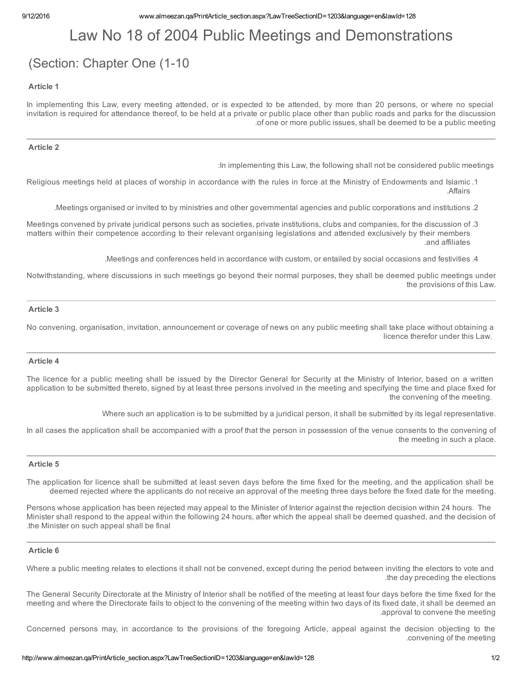# Law No 18 of 2004 Public Meetings and Demonstrations

# (Section: Chapter One (1-10)

## Article 1

In implementing this Law, every meeting attended, or is expected to be attended, by more than 20 persons, or where no special invitation is required for attendance thereof, to be held at a private or public place other than public roads and parks for the discussion .of one or more public issues, shall be deemed to be a public meeting

### Article 2

:In implementing this Law, the following shall not be considered public meetings

- Religious meetings held at places of worship in accordance with the rules in force at the Ministry of Endowments and Islamic .1 .Affairs
	- .Meetings organised or invited to by ministries and other governmental agencies and public corporations and institutions .2
- Meetings convened by private juridical persons such as societies, private institutions, clubs and companies, for the discussion of .3 matters within their competence according to their relevant organising legislations and attended exclusively by their members .and affiliates
	- .Meetings and conferences held in accordance with custom, or entailed by social occasions and festivities .4

Notwithstanding, where discussions in such meetings go beyond their normal purposes, they shall be deemed public meetings under the provisions of this Law.

# Article 3

No convening, organisation, invitation, announcement or coverage of news on any public meeting shall take place without obtaining a licence therefor under this Law.

# Article 4

The licence for a public meeting shall be issued by the Director General for Security at the Ministry of Interior, based on a written application to be submitted thereto, signed by at least three persons involved in the meeting and specifying the time and place fixed for the convening of the meeting.

Where such an application is to be submitted by a juridical person, it shall be submitted by its legal representative.

In all cases the application shall be accompanied with a proof that the person in possession of the venue consents to the convening of the meeting in such a place.

## Article 5

The application for licence shall be submitted at least seven days before the time fixed for the meeting, and the application shall be deemed rejected where the applicants do not receive an approval of the meeting three days before the fixed date for the meeting.

Persons whose application has been rejected may appeal to the Minister of Interior against the rejection decision within 24 hours. The Minister shall respond to the appeal within the following 24 hours, after which the appeal shall be deemed quashed, and the decision of .the Minister on such appeal shall be final

#### Article 6

Where a public meeting relates to elections it shall not be convened, except during the period between inviting the electors to vote and .the day preceding the elections

The General Security Directorate at the Ministry of Interior shall be notified of the meeting at least four days before the time fixed for the meeting and where the Directorate fails to object to the convening of the meeting within two days of its fixed date, it shall be deemed an .approval to convene the meeting

Concerned persons may, in accordance to the provisions of the foregoing Article, appeal against the decision objecting to the .convening of the meeting